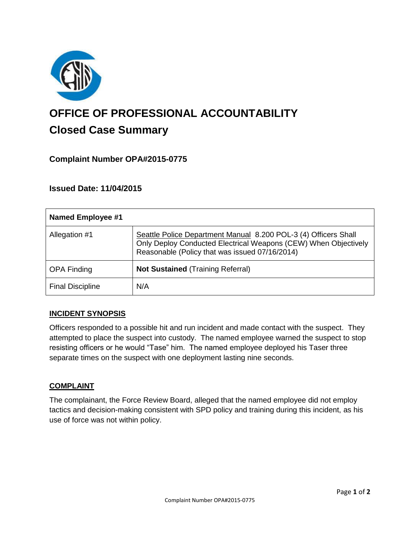

# **OFFICE OF PROFESSIONAL ACCOUNTABILITY Closed Case Summary**

## **Complaint Number OPA#2015-0775**

## **Issued Date: 11/04/2015**

| <b>Named Employee #1</b> |                                                                                                                                                                                      |
|--------------------------|--------------------------------------------------------------------------------------------------------------------------------------------------------------------------------------|
| Allegation #1            | Seattle Police Department Manual 8.200 POL-3 (4) Officers Shall<br>Only Deploy Conducted Electrical Weapons (CEW) When Objectively<br>Reasonable (Policy that was issued 07/16/2014) |
| <b>OPA Finding</b>       | <b>Not Sustained (Training Referral)</b>                                                                                                                                             |
| <b>Final Discipline</b>  | N/A                                                                                                                                                                                  |

## **INCIDENT SYNOPSIS**

Officers responded to a possible hit and run incident and made contact with the suspect. They attempted to place the suspect into custody. The named employee warned the suspect to stop resisting officers or he would "Tase" him. The named employee deployed his Taser three separate times on the suspect with one deployment lasting nine seconds.

#### **COMPLAINT**

The complainant, the Force Review Board, alleged that the named employee did not employ tactics and decision-making consistent with SPD policy and training during this incident, as his use of force was not within policy.